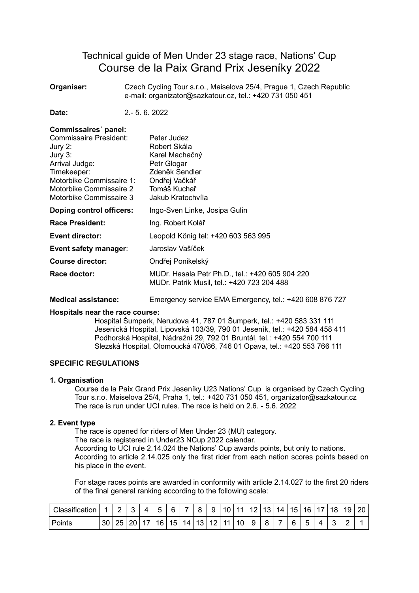# Technical guide of Men Under 23 stage race, Nations' Cup Course de la Paix Grand Prix Jeseníky 2022

**Organiser:** Czech Cycling Tour s.r.o., Maiselova 25/4, Prague 1, Czech Republic e-mail: organizator@sazkatour.cz, tel.: +420 731 050 451

**Date:** 2.- 5. 6. 2022

# **Commissaires´ panel:**  Commissaire President: Peter Judez Jury 2: Robert Skála Jury 3: Karel Machačný Arrival Judge: Petr Glogar Timekeeper: Zdeněk Sendler Motorbike Commissaire 1: Ondřej Vačkář Motorbike Commissaire 2 Tomáš Kuchař Motorbike Commissaire 3 Jakub Kratochvíla **Doping control officers:** Ingo-Sven Linke, Josipa Gulin **Race President:** Ing. Robert Kolář **Event director:** Leopold König tel: +420 603 563 995 **Event safety manager**: Jaroslav Vašíček **Course director:** Ondřej Ponikelský **Race doctor:** MUDr. Hasala Petr Ph.D., tel.: +420 605 904 220 MUDr. Patrik Musil, tel.: +420 723 204 488

**Medical assistance:** Emergency service EMA Emergency, tel.: +420 608 876 727

### **Hospitals near the race course:**

Hospital Šumperk, Nerudova 41, 787 01 Šumperk, tel.: +420 583 331 111 Jesenická Hospital, Lipovská 103/39, 790 01 Jeseník, tel.: +420 584 458 411 Podhorská Hospital, Nádražní 29, 792 01 Bruntál, tel.: +420 554 700 111 Slezská Hospital, Olomoucká 470/86, 746 01 Opava, tel.: +420 553 766 111

### **SPECIFIC REGULATIONS**

#### **1. Organisation**

Course de la Paix Grand Prix Jeseníky U23 Nations' Cup is organised by Czech Cycling Tour s.r.o. Maiselova 25/4, Praha 1, tel.: +420 731 050 451, organizator@sazkatour.cz The race is run under UCI rules. The race is held on 2.6 - 5.6. 2022.

### **2. Event type**

The race is opened for riders of Men Under 23 (MU) category.

The race is registered in Under23 NCup 2022 calendar.

According to UCI rule 2.14.024 the Nations' Cup awards points, but only to nations. According to article 2.14.025 only the first rider from each nation scores points based on his place in the event.

For stage races points are awarded in conformity with article 2.14.027 to the first 20 riders of the final general ranking according to the following scale:

| Classification |    |          | ◠        | 4 | -<br>$\ddot{\phantom{1}}$ | ς   | -  | я         | a         | 10  | $-11$ | $12 \,$ | 13      | 14 <sub>1</sub> | 15 <sub>1</sub> | 16 | 17 | 18 | 19 | 20 |
|----------------|----|----------|----------|---|---------------------------|-----|----|-----------|-----------|-----|-------|---------|---------|-----------------|-----------------|----|----|----|----|----|
| Points         | 30 | つに<br>∠∪ | 20.<br>∼ |   | 16 <sub>1</sub>           | 15. | 14 | 12  <br>u | 12<br>. . | 111 | 10    | 9       | $\circ$ |                 | а               | ∽  |    |    | ◠  |    |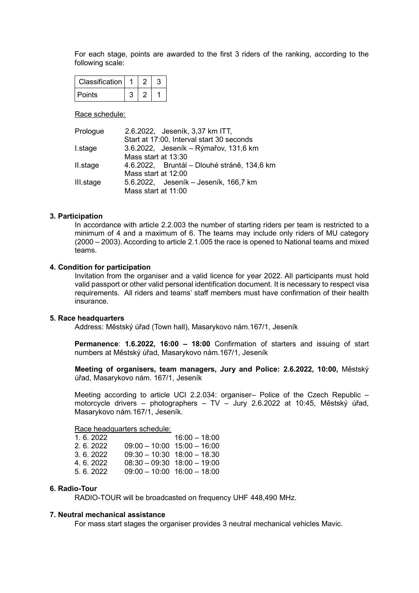For each stage, points are awarded to the first 3 riders of the ranking, according to the following scale:

| Classification |  |  |
|----------------|--|--|
| Points         |  |  |

Race schedule:

| Prologue  | 2.6.2022, Jeseník, 3,37 km ITT,             |  |  |  |  |  |  |  |
|-----------|---------------------------------------------|--|--|--|--|--|--|--|
|           | Start at 17:00, Interval start 30 seconds   |  |  |  |  |  |  |  |
| I.stage   | 3.6.2022, Jeseník – Rýmařov, 131,6 km       |  |  |  |  |  |  |  |
|           | Mass start at 13:30                         |  |  |  |  |  |  |  |
| II.stage  | 4.6.2022, Bruntál – Dlouhé stráně, 134,6 km |  |  |  |  |  |  |  |
|           | Mass start at 12:00                         |  |  |  |  |  |  |  |
| III.stage | 5.6.2022, Jeseník – Jeseník, 166,7 km       |  |  |  |  |  |  |  |
|           | Mass start at 11:00                         |  |  |  |  |  |  |  |

#### **3. Participation**

In accordance with article 2.2.003 the number of starting riders per team is restricted to a minimum of 4 and a maximum of 6. The teams may include only riders of MU category (2000 – 2003). According to article 2.1.005 the race is opened to National teams and mixed teams.

#### **4. Condition for participation**

Invitation from the organiser and a valid licence for year 2022. All participants must hold valid passport or other valid personal identification document. It is necessary to respect visa requirements. All riders and teams' staff members must have confirmation of their health insurance.

#### **5. Race headquarters**

Address: Městský úřad (Town hall), Masarykovo nám.167/1, Jeseník

**Permanence**: **1.6.2022, 16:00 – 18:00** Confirmation of starters and issuing of start numbers at Městský úřad, Masarykovo nám.167/1, Jeseník

**Meeting of organisers, team managers, Jury and Police: 2.6.2022, 10:00,** Městský úřad, Masarykovo nám. 167/1, Jeseník

Meeting according to article UCI 2.2.034: organiser– Police of the Czech Republic – motorcycle drivers – photographers – TV – Jury 2.6.2022 at 10:45, Městský úřad, Masarykovo nám.167/1, Jeseník.

Race headquarters schedule:

|                                 | $16:00 - 18:00$ |
|---------------------------------|-----------------|
| $09:00 - 10:00$ 15:00 $- 16:00$ |                 |
| $09:30 - 10:30$ 18:00 - 18.30   |                 |
| $08:30 - 09:30$ 18:00 - 19:00   |                 |
| $09:00 - 10:00$ 16:00 $- 18:00$ |                 |
|                                 |                 |

#### **6. Radio-Tour**

RADIO-TOUR will be broadcasted on frequency UHF 448,490 MHz.

#### **7. Neutral mechanical assistance**

For mass start stages the organiser provides 3 neutral mechanical vehicles Mavic.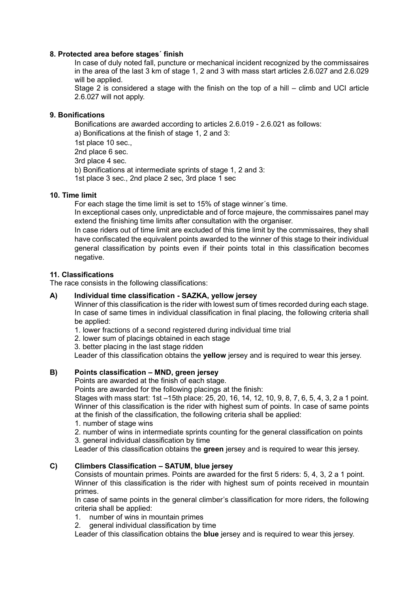### **8. Protected area before stages´ finish**

In case of duly noted fall, puncture or mechanical incident recognized by the commissaires in the area of the last 3 km of stage 1, 2 and 3 with mass start articles 2.6.027 and 2.6.029 will be applied.

Stage 2 is considered a stage with the finish on the top of a hill – climb and UCI article 2.6.027 will not apply.

# **9. Bonifications**

Bonifications are awarded according to articles 2.6.019 - 2.6.021 as follows: a) Bonifications at the finish of stage 1, 2 and 3:

1st place 10 sec.,

2nd place 6 sec.

3rd place 4 sec.

b) Bonifications at intermediate sprints of stage 1, 2 and 3:

1st place 3 sec., 2nd place 2 sec, 3rd place 1 sec

# **10. Time limit**

For each stage the time limit is set to 15% of stage winner´s time.

In exceptional cases only, unpredictable and of force majeure, the commissaires panel may extend the finishing time limits after consultation with the organiser.

In case riders out of time limit are excluded of this time limit by the commissaires, they shall have confiscated the equivalent points awarded to the winner of this stage to their individual general classification by points even if their points total in this classification becomes negative.

# **11. Classifications**

The race consists in the following classifications:

# **A) Individual time classification - SAZKA, yellow jersey**

Winner of this classification is the rider with lowest sum of times recorded during each stage. In case of same times in individual classification in final placing, the following criteria shall be applied:

- 1. lower fractions of a second registered during individual time trial
- 2. lower sum of placings obtained in each stage
- 3. better placing in the last stage ridden

Leader of this classification obtains the **yellow** jersey and is required to wear this jersey.

# **B) Points classification – MND, green jersey**

Points are awarded at the finish of each stage.

Points are awarded for the following placings at the finish:

Stages with mass start: 1st –15th place: 25, 20, 16, 14, 12, 10, 9, 8, 7, 6, 5, 4, 3, 2 a 1 point. Winner of this classification is the rider with highest sum of points. In case of same points at the finish of the classification, the following criteria shall be applied:

1. number of stage wins

2. number of wins in intermediate sprints counting for the general classification on points

3. general individual classification by time

Leader of this classification obtains the **green** jersey and is required to wear this jersey.

# **C) Climbers Classification – SATUM, blue jersey**

Consists of mountain primes. Points are awarded for the first 5 riders: 5, 4, 3, 2 a 1 point. Winner of this classification is the rider with highest sum of points received in mountain primes.

In case of same points in the general climber's classification for more riders, the following criteria shall be applied:

- 1. number of wins in mountain primes
- 2. general individual classification by time

Leader of this classification obtains the **blue** jersey and is required to wear this jersey.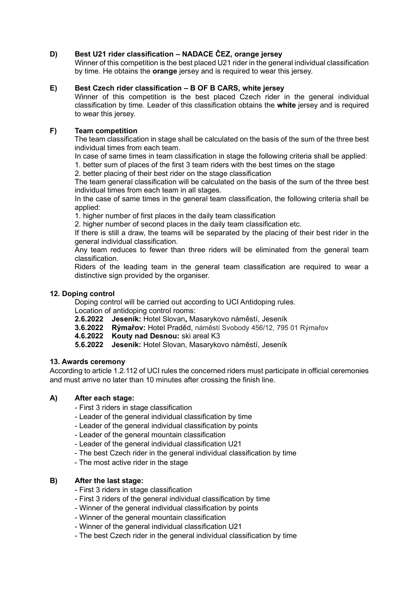# **D) Best U21 rider classification – NADACE ČEZ, orange jersey**

Winner of this competition is the best placed U21 rider in the general individual classification by time. He obtains the **orange** jersey and is required to wear this jersey.

# **E) Best Czech rider classification – B OF B CARS, white jersey**

Winner of this competition is the best placed Czech rider in the general individual classification by time. Leader of this classification obtains the **white** jersey and is required to wear this jersey.

# **F) Team competition**

The team classification in stage shall be calculated on the basis of the sum of the three best individual times from each team.

In case of same times in team classification in stage the following criteria shall be applied:

1. better sum of places of the first 3 team riders with the best times on the stage

2. better placing of their best rider on the stage classification

The team general classification will be calculated on the basis of the sum of the three best individual times from each team in all stages.

In the case of same times in the general team classification, the following criteria shall be applied:

1. higher number of first places in the daily team classification

2. higher number of second places in the daily team classification etc.

If there is still a draw, the teams will be separated by the placing of their best rider in the general individual classification.

Any team reduces to fewer than three riders will be eliminated from the general team classification.

Riders of the leading team in the general team classification are required to wear a distinctive sign provided by the organiser.

# **12. Doping control**

Doping control will be carried out according to UCI Antidoping rules.

Location of antidoping control rooms:

- **2.6.2022 Jeseník:** Hotel Slovan**,** Masarykovo náměstí, Jeseník
- **3.6.2022 Rýmařov:** Hotel Praděd, náměstí Svobody 456/12, 795 01 Rýmařov
- **4.6.2022 Kouty nad Desnou:** ski areal K3
- **5.6.2022 Jeseník:** Hotel Slovan, Masarykovo náměstí, Jeseník

### **13. Awards ceremony**

According to article 1.2.112 of UCI rules the concerned riders must participate in official ceremonies and must arrive no later than 10 minutes after crossing the finish line.

# **A) After each stage:**

- First 3 riders in stage classification
- Leader of the general individual classification by time
- Leader of the general individual classification by points
- Leader of the general mountain classification
- Leader of the general individual classification U21
- The best Czech rider in the general individual classification by time
- The most active rider in the stage

# **B) After the last stage:**

- First 3 riders in stage classification
- First 3 riders of the general individual classification by time
- Winner of the general individual classification by points
- Winner of the general mountain classification
- Winner of the general individual classification U21
- The best Czech rider in the general individual classification by time